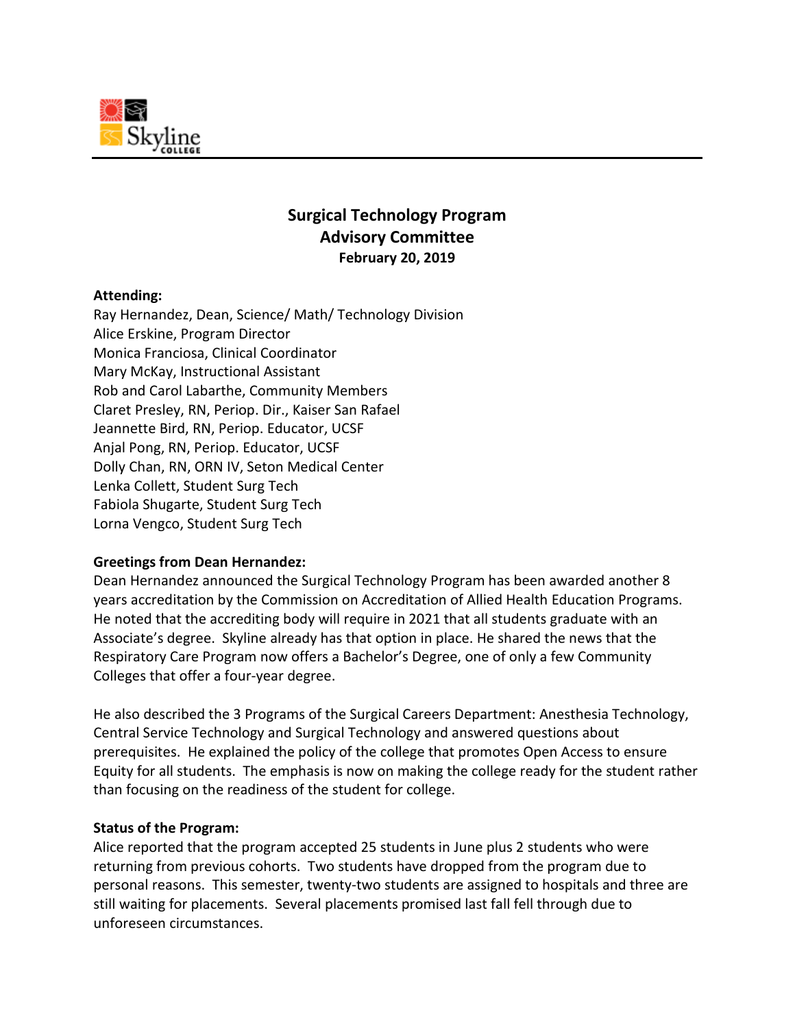

# **Surgical Technology Program Advisory Committee February 20, 2019**

## **Attending:**

Ray Hernandez, Dean, Science/ Math/ Technology Division Alice Erskine, Program Director Monica Franciosa, Clinical Coordinator Mary McKay, Instructional Assistant Rob and Carol Labarthe, Community Members Claret Presley, RN, Periop. Dir., Kaiser San Rafael Jeannette Bird, RN, Periop. Educator, UCSF Anjal Pong, RN, Periop. Educator, UCSF Dolly Chan, RN, ORN IV, Seton Medical Center Lenka Collett, Student Surg Tech Fabiola Shugarte, Student Surg Tech Lorna Vengco, Student Surg Tech

## **Greetings from Dean Hernandez:**

Dean Hernandez announced the Surgical Technology Program has been awarded another 8 years accreditation by the Commission on Accreditation of Allied Health Education Programs. He noted that the accrediting body will require in 2021 that all students graduate with an Associate's degree. Skyline already has that option in place. He shared the news that the Respiratory Care Program now offers a Bachelor's Degree, one of only a few Community Colleges that offer a four-year degree.

He also described the 3 Programs of the Surgical Careers Department: Anesthesia Technology, Central Service Technology and Surgical Technology and answered questions about prerequisites. He explained the policy of the college that promotes Open Access to ensure Equity for all students. The emphasis is now on making the college ready for the student rather than focusing on the readiness of the student for college.

## **Status of the Program:**

Alice reported that the program accepted 25 students in June plus 2 students who were returning from previous cohorts. Two students have dropped from the program due to personal reasons. This semester, twenty-two students are assigned to hospitals and three are still waiting for placements. Several placements promised last fall fell through due to unforeseen circumstances.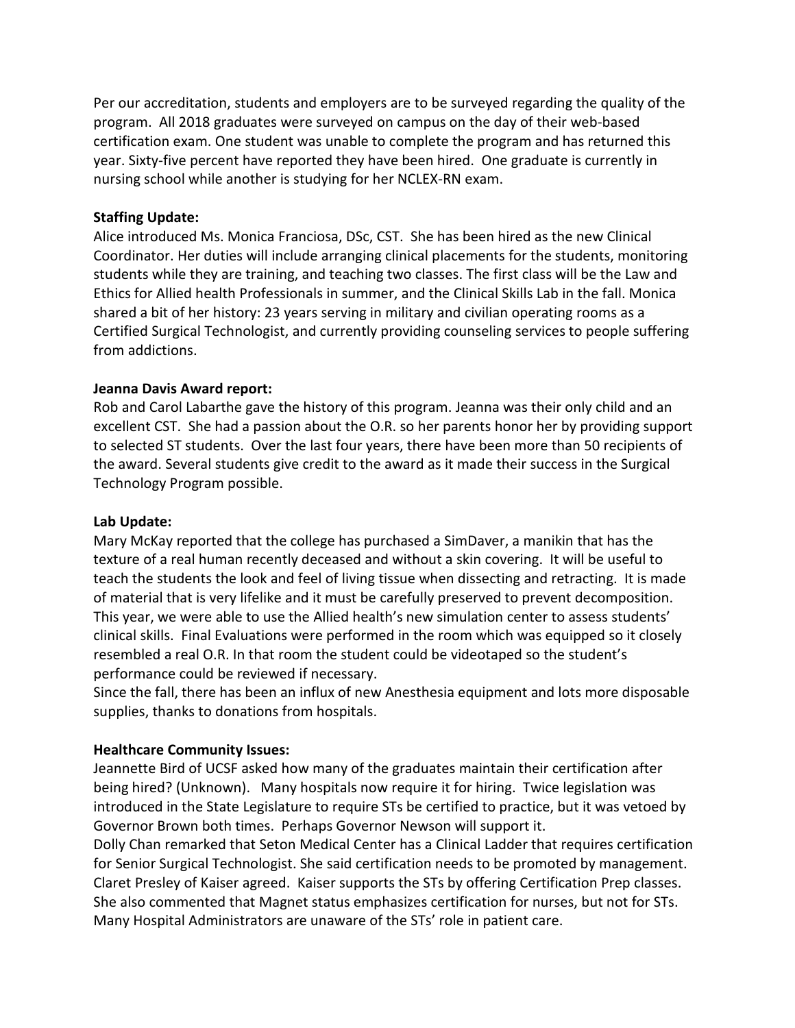Per our accreditation, students and employers are to be surveyed regarding the quality of the program. All 2018 graduates were surveyed on campus on the day of their web-based certification exam. One student was unable to complete the program and has returned this year. Sixty-five percent have reported they have been hired. One graduate is currently in nursing school while another is studying for her NCLEX-RN exam.

## **Staffing Update:**

Alice introduced Ms. Monica Franciosa, DSc, CST. She has been hired as the new Clinical Coordinator. Her duties will include arranging clinical placements for the students, monitoring students while they are training, and teaching two classes. The first class will be the Law and Ethics for Allied health Professionals in summer, and the Clinical Skills Lab in the fall. Monica shared a bit of her history: 23 years serving in military and civilian operating rooms as a Certified Surgical Technologist, and currently providing counseling services to people suffering from addictions.

## **Jeanna Davis Award report:**

Rob and Carol Labarthe gave the history of this program. Jeanna was their only child and an excellent CST. She had a passion about the O.R. so her parents honor her by providing support to selected ST students. Over the last four years, there have been more than 50 recipients of the award. Several students give credit to the award as it made their success in the Surgical Technology Program possible.

## **Lab Update:**

Mary McKay reported that the college has purchased a SimDaver, a manikin that has the texture of a real human recently deceased and without a skin covering. It will be useful to teach the students the look and feel of living tissue when dissecting and retracting. It is made of material that is very lifelike and it must be carefully preserved to prevent decomposition. This year, we were able to use the Allied health's new simulation center to assess students' clinical skills. Final Evaluations were performed in the room which was equipped so it closely resembled a real O.R. In that room the student could be videotaped so the student's performance could be reviewed if necessary.

Since the fall, there has been an influx of new Anesthesia equipment and lots more disposable supplies, thanks to donations from hospitals.

## **Healthcare Community Issues:**

Jeannette Bird of UCSF asked how many of the graduates maintain their certification after being hired? (Unknown). Many hospitals now require it for hiring. Twice legislation was introduced in the State Legislature to require STs be certified to practice, but it was vetoed by Governor Brown both times. Perhaps Governor Newson will support it.

Dolly Chan remarked that Seton Medical Center has a Clinical Ladder that requires certification for Senior Surgical Technologist. She said certification needs to be promoted by management. Claret Presley of Kaiser agreed. Kaiser supports the STs by offering Certification Prep classes. She also commented that Magnet status emphasizes certification for nurses, but not for STs. Many Hospital Administrators are unaware of the STs' role in patient care.